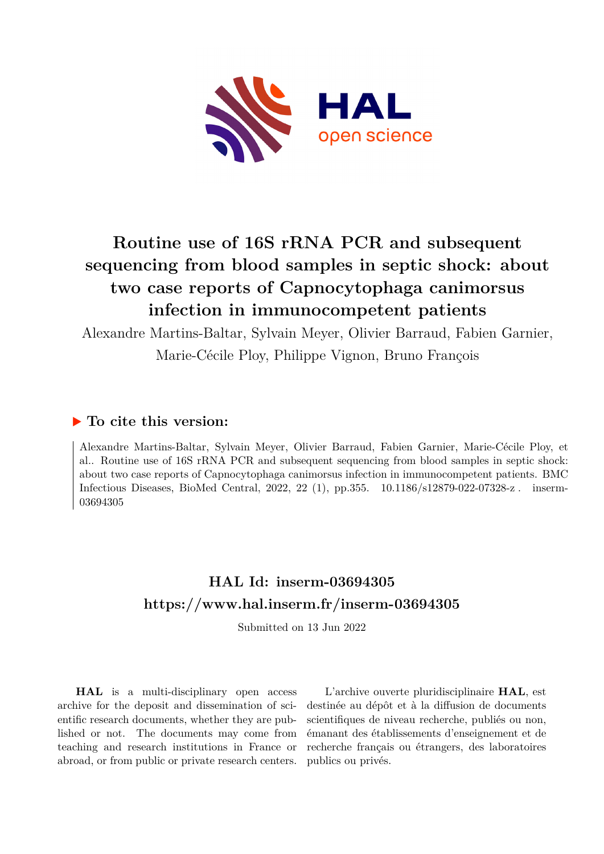

# **Routine use of 16S rRNA PCR and subsequent sequencing from blood samples in septic shock: about two case reports of Capnocytophaga canimorsus infection in immunocompetent patients**

Alexandre Martins-Baltar, Sylvain Meyer, Olivier Barraud, Fabien Garnier, Marie-Cécile Ploy, Philippe Vignon, Bruno François

# **To cite this version:**

Alexandre Martins-Baltar, Sylvain Meyer, Olivier Barraud, Fabien Garnier, Marie-Cécile Ploy, et al.. Routine use of 16S rRNA PCR and subsequent sequencing from blood samples in septic shock: about two case reports of Capnocytophaga canimorsus infection in immunocompetent patients. BMC Infectious Diseases, BioMed Central, 2022, 22 (1), pp.355. 10.1186/s12879-022-07328-z. inserm-03694305ff

# **HAL Id: inserm-03694305 <https://www.hal.inserm.fr/inserm-03694305>**

Submitted on 13 Jun 2022

**HAL** is a multi-disciplinary open access archive for the deposit and dissemination of scientific research documents, whether they are published or not. The documents may come from teaching and research institutions in France or abroad, or from public or private research centers.

L'archive ouverte pluridisciplinaire **HAL**, est destinée au dépôt et à la diffusion de documents scientifiques de niveau recherche, publiés ou non, émanant des établissements d'enseignement et de recherche français ou étrangers, des laboratoires publics ou privés.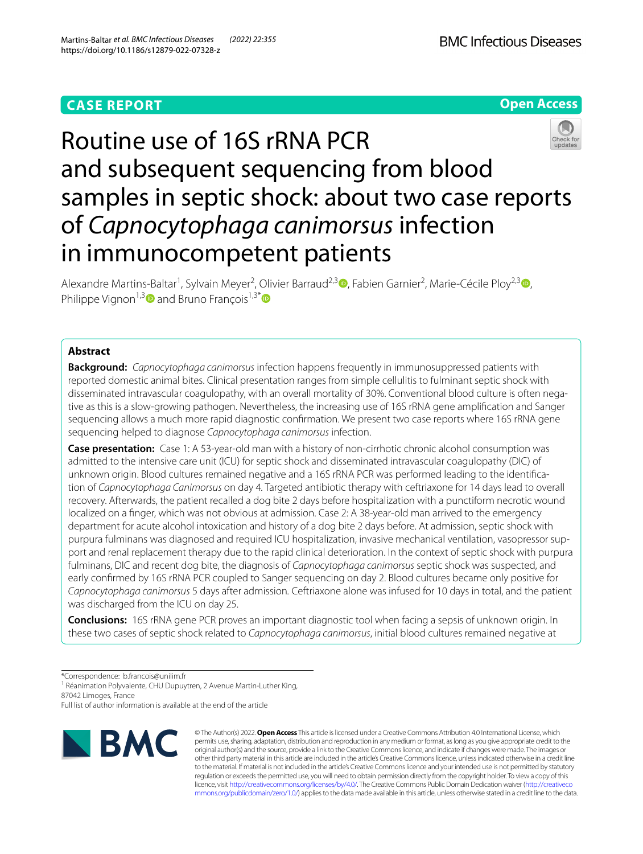# **CASE REPORT**



# Routine use of 16S rRNA PCR and subsequent sequencing from blood samples in septic shock: about two case reports of *Capnocytophaga canimorsus* infection in immunocompetent patients

Alexandre Martins-Baltar<sup>1</sup>[,](https://orcid.org/0000-0003-2015-9206) Sylvain Meyer<sup>2</sup>[,](https://orcid.org/0000-0002-0718-4979) Olivier Barraud<sup>2,3</sup><sup>0</sup>, Fabien Garnier<sup>2</sup>, Marie-Cécile Ploy<sup>2,3</sup><sup>0</sup>, Philippe Vignon<sup>1,[3](https://orcid.org/0000-0003-4551-5772)</sup> and Bruno François<sup>1,3[\\*](http://orcid.org/0000-0002-2531-1652)</sup>

# **Abstract**

**Background:** *Capnocytophaga canimorsus* infection happens frequently in immunosuppressed patients with reported domestic animal bites. Clinical presentation ranges from simple cellulitis to fulminant septic shock with disseminated intravascular coagulopathy, with an overall mortality of 30%. Conventional blood culture is often negative as this is a slow-growing pathogen. Nevertheless, the increasing use of 16S rRNA gene amplifcation and Sanger sequencing allows a much more rapid diagnostic confrmation. We present two case reports where 16S rRNA gene sequencing helped to diagnose *Capnocytophaga canimorsus* infection.

**Case presentation:** Case 1: A 53-year-old man with a history of non-cirrhotic chronic alcohol consumption was admitted to the intensive care unit (ICU) for septic shock and disseminated intravascular coagulopathy (DIC) of unknown origin. Blood cultures remained negative and a 16S rRNA PCR was performed leading to the identifca‑ tion of *Capnocytophaga Canimorsus* on day 4*.* Targeted antibiotic therapy with ceftriaxone for 14 days lead to overall recovery. Afterwards, the patient recalled a dog bite 2 days before hospitalization with a punctiform necrotic wound localized on a fnger, which was not obvious at admission. Case 2: A 38-year-old man arrived to the emergency department for acute alcohol intoxication and history of a dog bite 2 days before. At admission, septic shock with purpura fulminans was diagnosed and required ICU hospitalization, invasive mechanical ventilation, vasopressor support and renal replacement therapy due to the rapid clinical deterioration. In the context of septic shock with purpura fulminans, DIC and recent dog bite, the diagnosis of *Capnocytophaga canimorsus* septic shock was suspected, and early confrmed by 16S rRNA PCR coupled to Sanger sequencing on day 2. Blood cultures became only positive for *Capnocytophaga canimorsus* 5 days after admission*.* Ceftriaxone alone was infused for 10 days in total, and the patient was discharged from the ICU on day 25.

**Conclusions:** 16S rRNA gene PCR proves an important diagnostic tool when facing a sepsis of unknown origin. In these two cases of septic shock related to *Capnocytophaga canimorsus*, initial blood cultures remained negative at

\*Correspondence: b.francois@unilim.fr

<sup>1</sup> Réanimation Polyvalente, CHU Dupuytren, 2 Avenue Martin-Luther King, 87042 Limoges, France

Full list of author information is available at the end of the article



© The Author(s) 2022. **Open Access** This article is licensed under a Creative Commons Attribution 4.0 International License, which permits use, sharing, adaptation, distribution and reproduction in any medium or format, as long as you give appropriate credit to the original author(s) and the source, provide a link to the Creative Commons licence, and indicate if changes were made. The images or other third party material in this article are included in the article's Creative Commons licence, unless indicated otherwise in a credit line to the material. If material is not included in the article's Creative Commons licence and your intended use is not permitted by statutory regulation or exceeds the permitted use, you will need to obtain permission directly from the copyright holder. To view a copy of this licence, visit [http://creativecommons.org/licenses/by/4.0/.](http://creativecommons.org/licenses/by/4.0/) The Creative Commons Public Domain Dedication waiver ([http://creativeco](http://creativecommons.org/publicdomain/zero/1.0/) [mmons.org/publicdomain/zero/1.0/](http://creativecommons.org/publicdomain/zero/1.0/)) applies to the data made available in this article, unless otherwise stated in a credit line to the data.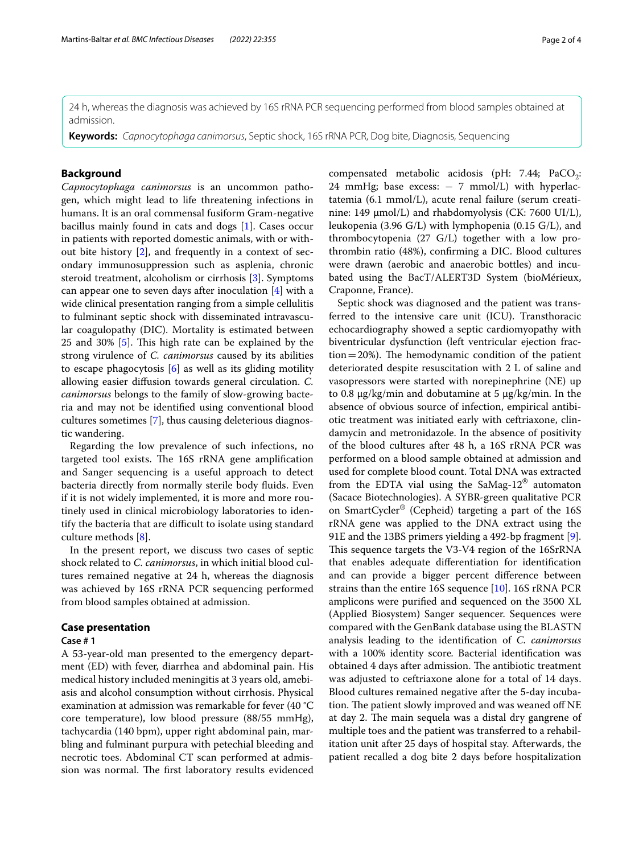24 h, whereas the diagnosis was achieved by 16S rRNA PCR sequencing performed from blood samples obtained at admission.

**Keywords:** *Capnocytophaga canimorsus*, Septic shock, 16S rRNA PCR, Dog bite, Diagnosis, Sequencing

# **Background**

*Capnocytophaga canimorsus* is an uncommon pathogen, which might lead to life threatening infections in humans. It is an oral commensal fusiform Gram-negative bacillus mainly found in cats and dogs [1]. Cases occur in patients with reported domestic animals, with or without bite history [2], and frequently in a context of secondary immunosuppression such as asplenia, chronic steroid treatment, alcoholism or cirrhosis [3]. Symptoms can appear one to seven days after inoculation [4] with a wide clinical presentation ranging from a simple cellulitis to fulminant septic shock with disseminated intravascular coagulopathy (DIC). Mortality is estimated between 25 and 30%  $[5]$ . This high rate can be explained by the strong virulence of *C. canimorsus* caused by its abilities to escape phagocytosis [6] as well as its gliding motility allowing easier difusion towards general circulation. *C. canimorsus* belongs to the family of slow-growing bacteria and may not be identifed using conventional blood cultures sometimes [7], thus causing deleterious diagnostic wandering.

Regarding the low prevalence of such infections, no targeted tool exists. The 16S rRNA gene amplification and Sanger sequencing is a useful approach to detect bacteria directly from normally sterile body fuids. Even if it is not widely implemented, it is more and more routinely used in clinical microbiology laboratories to identify the bacteria that are difficult to isolate using standard culture methods [8].

In the present report, we discuss two cases of septic shock related to *C. canimorsus*, in which initial blood cultures remained negative at 24 h, whereas the diagnosis was achieved by 16S rRNA PCR sequencing performed from blood samples obtained at admission.

### **Case presentation**

## **Case # 1**

A 53-year-old man presented to the emergency department (ED) with fever, diarrhea and abdominal pain. His medical history included meningitis at 3 years old, amebiasis and alcohol consumption without cirrhosis. Physical examination at admission was remarkable for fever (40 °C core temperature), low blood pressure (88/55 mmHg), tachycardia (140 bpm), upper right abdominal pain, marbling and fulminant purpura with petechial bleeding and necrotic toes. Abdominal CT scan performed at admission was normal. The first laboratory results evidenced

compensated metabolic acidosis (pH: 7.44; PaCO<sub>2</sub>: 24 mmHg; base excess:  $-7$  mmol/L) with hyperlactatemia (6.1 mmol/L), acute renal failure (serum creatinine: 149 µmol/L) and rhabdomyolysis (CK: 7600 UI/L), leukopenia (3.96 G/L) with lymphopenia (0.15 G/L), and thrombocytopenia (27 G/L) together with a low prothrombin ratio (48%), confrming a DIC. Blood cultures were drawn (aerobic and anaerobic bottles) and incubated using the BacT/ALERT3D System (bioMérieux, Craponne, France).

Septic shock was diagnosed and the patient was transferred to the intensive care unit (ICU). Transthoracic echocardiography showed a septic cardiomyopathy with biventricular dysfunction (left ventricular ejection frac $tion = 20\%$ ). The hemodynamic condition of the patient deteriorated despite resuscitation with 2 L of saline and vasopressors were started with norepinephrine (NE) up to 0.8 µg/kg/min and dobutamine at 5 µg/kg/min. In the absence of obvious source of infection, empirical antibiotic treatment was initiated early with ceftriaxone, clindamycin and metronidazole. In the absence of positivity of the blood cultures after 48 h, a 16S rRNA PCR was performed on a blood sample obtained at admission and used for complete blood count. Total DNA was extracted from the EDTA vial using the SaMag-12® automaton (Sacace Biotechnologies). A SYBR-green qualitative PCR on SmartCycler® (Cepheid) targeting a part of the 16S rRNA gene was applied to the DNA extract using the 91E and the 13BS primers yielding a 492-bp fragment [9]. This sequence targets the V3-V4 region of the 16SrRNA that enables adequate diferentiation for identifcation and can provide a bigger percent diference between strains than the entire 16S sequence [10]. 16S rRNA PCR amplicons were purifed and sequenced on the 3500 XL (Applied Biosystem) Sanger sequencer. Sequences were compared with the GenBank database using the BLASTN analysis leading to the identifcation of *C. canimorsus* with a 100% identity score*.* Bacterial identifcation was obtained 4 days after admission. The antibiotic treatment was adjusted to ceftriaxone alone for a total of 14 days. Blood cultures remained negative after the 5-day incubation. The patient slowly improved and was weaned off NE at day 2. The main sequela was a distal dry gangrene of multiple toes and the patient was transferred to a rehabilitation unit after 25 days of hospital stay. Afterwards, the patient recalled a dog bite 2 days before hospitalization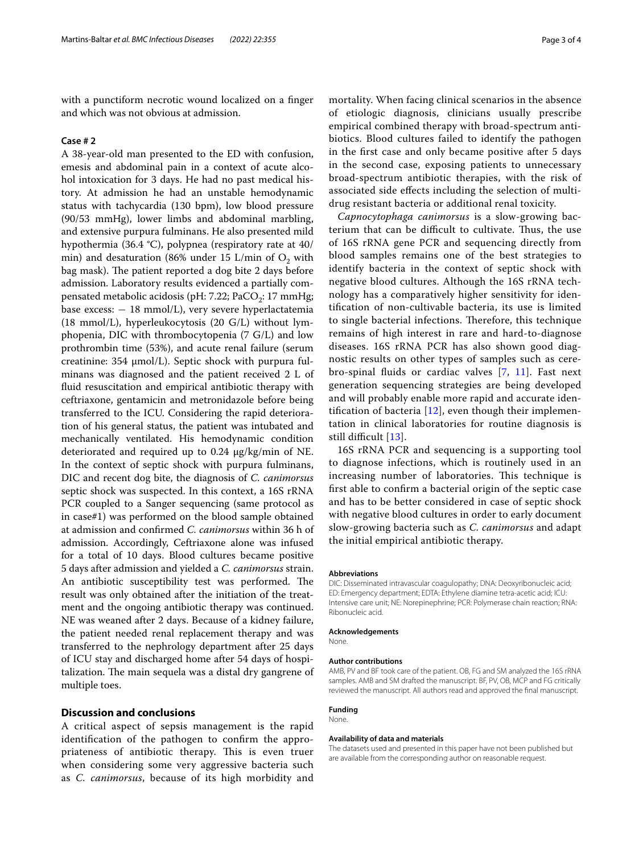with a punctiform necrotic wound localized on a finger and which was not obvious at admission.

## **Case # 2**

A 38-year-old man presented to the ED with confusion, emesis and abdominal pain in a context of acute alcohol intoxication for 3 days. He had no past medical history. At admission he had an unstable hemodynamic status with tachycardia (130 bpm), low blood pressure (90/53 mmHg), lower limbs and abdominal marbling, and extensive purpura fulminans. He also presented mild hypothermia (36.4 °C), polypnea (respiratory rate at 40/ min) and desaturation (86% under 15 L/min of  $O_2$  with bag mask). The patient reported a dog bite 2 days before admission. Laboratory results evidenced a partially compensated metabolic acidosis (pH: 7.22; PaCO<sub>2</sub>: 17 mmHg; base excess:  $-18$  mmol/L), very severe hyperlactatemia (18 mmol/L), hyperleukocytosis (20 G/L) without lymphopenia, DIC with thrombocytopenia (7 G/L) and low prothrombin time (53%), and acute renal failure (serum creatinine:  $354 \mu$ mol/L). Septic shock with purpura fulminans was diagnosed and the patient received 2 L of fuid resuscitation and empirical antibiotic therapy with ceftriaxone, gentamicin and metronidazole before being transferred to the ICU. Considering the rapid deterioration of his general status, the patient was intubated and mechanically ventilated. His hemodynamic condition deteriorated and required up to 0.24 µg/kg/min of NE. In the context of septic shock with purpura fulminans, DIC and recent dog bite, the diagnosis of *C. canimorsus* septic shock was suspected. In this context, a 16S rRNA PCR coupled to a Sanger sequencing (same protocol as in case#1) was performed on the blood sample obtained at admission and confrmed *C. canimorsus* within 36 h of admission. Accordingly, Ceftriaxone alone was infused for a total of 10 days. Blood cultures became positive 5 days after admission and yielded a *C. canimorsus* strain. An antibiotic susceptibility test was performed. The result was only obtained after the initiation of the treatment and the ongoing antibiotic therapy was continued. NE was weaned after 2 days. Because of a kidney failure, the patient needed renal replacement therapy and was transferred to the nephrology department after 25 days of ICU stay and discharged home after 54 days of hospitalization. The main sequela was a distal dry gangrene of multiple toes.

# **Discussion and conclusions**

A critical aspect of sepsis management is the rapid identifcation of the pathogen to confrm the appropriateness of antibiotic therapy. This is even truer when considering some very aggressive bacteria such as *C. canimorsus*, because of its high morbidity and mortality. When facing clinical scenarios in the absence of etiologic diagnosis, clinicians usually prescribe empirical combined therapy with broad-spectrum antibiotics. Blood cultures failed to identify the pathogen in the frst case and only became positive after 5 days in the second case, exposing patients to unnecessary broad-spectrum antibiotic therapies, with the risk of associated side efects including the selection of multidrug resistant bacteria or additional renal toxicity.

*Capnocytophaga canimorsus* is a slow-growing bacterium that can be difficult to cultivate. Thus, the use of 16S rRNA gene PCR and sequencing directly from blood samples remains one of the best strategies to identify bacteria in the context of septic shock with negative blood cultures. Although the 16S rRNA technology has a comparatively higher sensitivity for identifcation of non-cultivable bacteria, its use is limited to single bacterial infections. Therefore, this technique remains of high interest in rare and hard-to-diagnose diseases. 16S rRNA PCR has also shown good diagnostic results on other types of samples such as cerebro-spinal fuids or cardiac valves [7, 11]. Fast next generation sequencing strategies are being developed and will probably enable more rapid and accurate identification of bacteria  $[12]$ , even though their implementation in clinical laboratories for routine diagnosis is still difficult  $[13]$ .

16S rRNA PCR and sequencing is a supporting tool to diagnose infections, which is routinely used in an increasing number of laboratories. This technique is frst able to confrm a bacterial origin of the septic case and has to be better considered in case of septic shock with negative blood cultures in order to early document slow-growing bacteria such as *C. canimorsus* and adapt the initial empirical antibiotic therapy.

#### **Abbreviations**

DIC: Disseminated intravascular coagulopathy; DNA: Deoxyribonucleic acid; ED: Emergency department; EDTA: Ethylene diamine tetra-acetic acid; ICU: Intensive care unit; NE: Norepinephrine; PCR: Polymerase chain reaction; RNA: Ribonucleic acid.

#### **Acknowledgements**

None.

#### **Author contributions**

AMB, PV and BF took care of the patient. OB, FG and SM analyzed the 16S rRNA samples. AMB and SM drafted the manuscript. BF, PV, OB, MCP and FG critically reviewed the manuscript. All authors read and approved the fnal manuscript.

#### **Funding**

# None.

#### **Availability of data and materials**

The datasets used and presented in this paper have not been published but are available from the corresponding author on reasonable request.